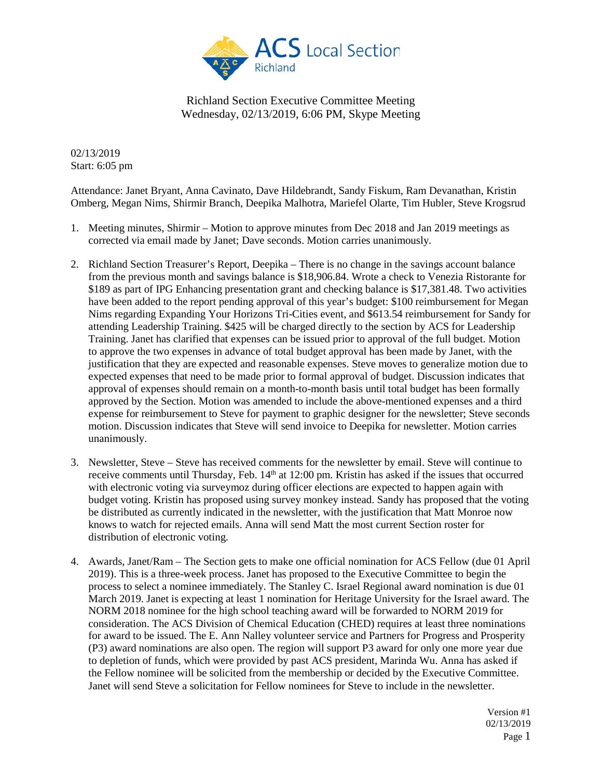

02/13/2019 Start: 6:05 pm

Attendance: Janet Bryant, Anna Cavinato, Dave Hildebrandt, Sandy Fiskum, Ram Devanathan, Kristin Omberg, Megan Nims, Shirmir Branch, Deepika Malhotra, Mariefel Olarte, Tim Hubler, Steve Krogsrud

- 1. Meeting minutes, Shirmir Motion to approve minutes from Dec 2018 and Jan 2019 meetings as corrected via email made by Janet; Dave seconds. Motion carries unanimously.
- 2. Richland Section Treasurer's Report, Deepika There is no change in the savings account balance from the previous month and savings balance is \$18,906.84. Wrote a check to Venezia Ristorante for \$189 as part of IPG Enhancing presentation grant and checking balance is \$17,381.48. Two activities have been added to the report pending approval of this year's budget: \$100 reimbursement for Megan Nims regarding Expanding Your Horizons Tri-Cities event, and \$613.54 reimbursement for Sandy for attending Leadership Training. \$425 will be charged directly to the section by ACS for Leadership Training. Janet has clarified that expenses can be issued prior to approval of the full budget. Motion to approve the two expenses in advance of total budget approval has been made by Janet, with the justification that they are expected and reasonable expenses. Steve moves to generalize motion due to expected expenses that need to be made prior to formal approval of budget. Discussion indicates that approval of expenses should remain on a month-to-month basis until total budget has been formally approved by the Section. Motion was amended to include the above-mentioned expenses and a third expense for reimbursement to Steve for payment to graphic designer for the newsletter; Steve seconds motion. Discussion indicates that Steve will send invoice to Deepika for newsletter. Motion carries unanimously.
- 3. Newsletter, Steve Steve has received comments for the newsletter by email. Steve will continue to receive comments until Thursday, Feb. 14<sup>th</sup> at 12:00 pm. Kristin has asked if the issues that occurred with electronic voting via surveymoz during officer elections are expected to happen again with budget voting. Kristin has proposed using survey monkey instead. Sandy has proposed that the voting be distributed as currently indicated in the newsletter, with the justification that Matt Monroe now knows to watch for rejected emails. Anna will send Matt the most current Section roster for distribution of electronic voting.
- 4. Awards, Janet/Ram The Section gets to make one official nomination for ACS Fellow (due 01 April 2019). This is a three-week process. Janet has proposed to the Executive Committee to begin the process to select a nominee immediately. The Stanley C. Israel Regional award nomination is due 01 March 2019. Janet is expecting at least 1 nomination for Heritage University for the Israel award. The NORM 2018 nominee for the high school teaching award will be forwarded to NORM 2019 for consideration. The ACS Division of Chemical Education (CHED) requires at least three nominations for award to be issued. The E. Ann Nalley volunteer service and Partners for Progress and Prosperity (P3) award nominations are also open. The region will support P3 award for only one more year due to depletion of funds, which were provided by past ACS president, Marinda Wu. Anna has asked if the Fellow nominee will be solicited from the membership or decided by the Executive Committee. Janet will send Steve a solicitation for Fellow nominees for Steve to include in the newsletter.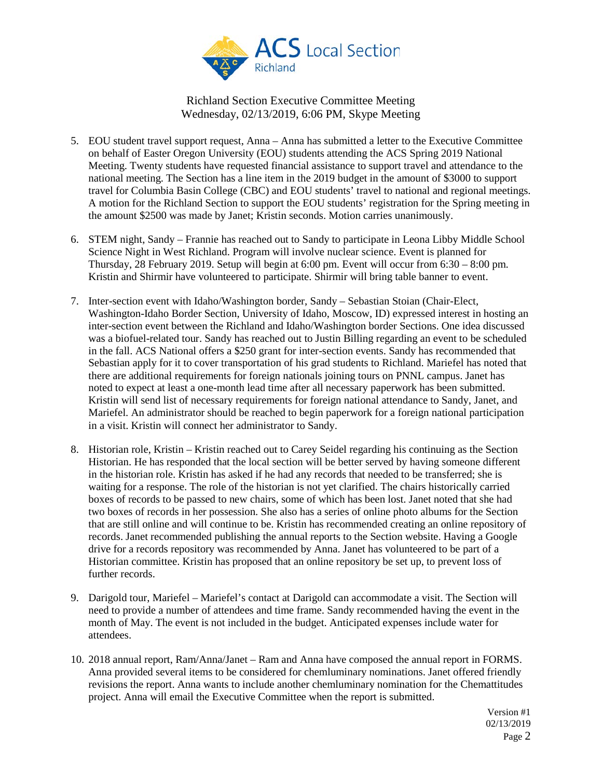

- 5. EOU student travel support request, Anna Anna has submitted a letter to the Executive Committee on behalf of Easter Oregon University (EOU) students attending the ACS Spring 2019 National Meeting. Twenty students have requested financial assistance to support travel and attendance to the national meeting. The Section has a line item in the 2019 budget in the amount of \$3000 to support travel for Columbia Basin College (CBC) and EOU students' travel to national and regional meetings. A motion for the Richland Section to support the EOU students' registration for the Spring meeting in the amount \$2500 was made by Janet; Kristin seconds. Motion carries unanimously.
- 6. STEM night, Sandy Frannie has reached out to Sandy to participate in Leona Libby Middle School Science Night in West Richland. Program will involve nuclear science. Event is planned for Thursday, 28 February 2019. Setup will begin at 6:00 pm. Event will occur from 6:30 – 8:00 pm. Kristin and Shirmir have volunteered to participate. Shirmir will bring table banner to event.
- 7. Inter-section event with Idaho/Washington border, Sandy Sebastian Stoian (Chair-Elect, Washington-Idaho Border Section, University of Idaho, Moscow, ID) expressed interest in hosting an inter-section event between the Richland and Idaho/Washington border Sections. One idea discussed was a biofuel-related tour. Sandy has reached out to Justin Billing regarding an event to be scheduled in the fall. ACS National offers a \$250 grant for inter-section events. Sandy has recommended that Sebastian apply for it to cover transportation of his grad students to Richland. Mariefel has noted that there are additional requirements for foreign nationals joining tours on PNNL campus. Janet has noted to expect at least a one-month lead time after all necessary paperwork has been submitted. Kristin will send list of necessary requirements for foreign national attendance to Sandy, Janet, and Mariefel. An administrator should be reached to begin paperwork for a foreign national participation in a visit. Kristin will connect her administrator to Sandy.
- 8. Historian role, Kristin Kristin reached out to Carey Seidel regarding his continuing as the Section Historian. He has responded that the local section will be better served by having someone different in the historian role. Kristin has asked if he had any records that needed to be transferred; she is waiting for a response. The role of the historian is not yet clarified. The chairs historically carried boxes of records to be passed to new chairs, some of which has been lost. Janet noted that she had two boxes of records in her possession. She also has a series of online photo albums for the Section that are still online and will continue to be. Kristin has recommended creating an online repository of records. Janet recommended publishing the annual reports to the Section website. Having a Google drive for a records repository was recommended by Anna. Janet has volunteered to be part of a Historian committee. Kristin has proposed that an online repository be set up, to prevent loss of further records.
- 9. Darigold tour, Mariefel Mariefel's contact at Darigold can accommodate a visit. The Section will need to provide a number of attendees and time frame. Sandy recommended having the event in the month of May. The event is not included in the budget. Anticipated expenses include water for attendees.
- 10. 2018 annual report, Ram/Anna/Janet Ram and Anna have composed the annual report in FORMS. Anna provided several items to be considered for chemluminary nominations. Janet offered friendly revisions the report. Anna wants to include another chemluminary nomination for the Chemattitudes project. Anna will email the Executive Committee when the report is submitted.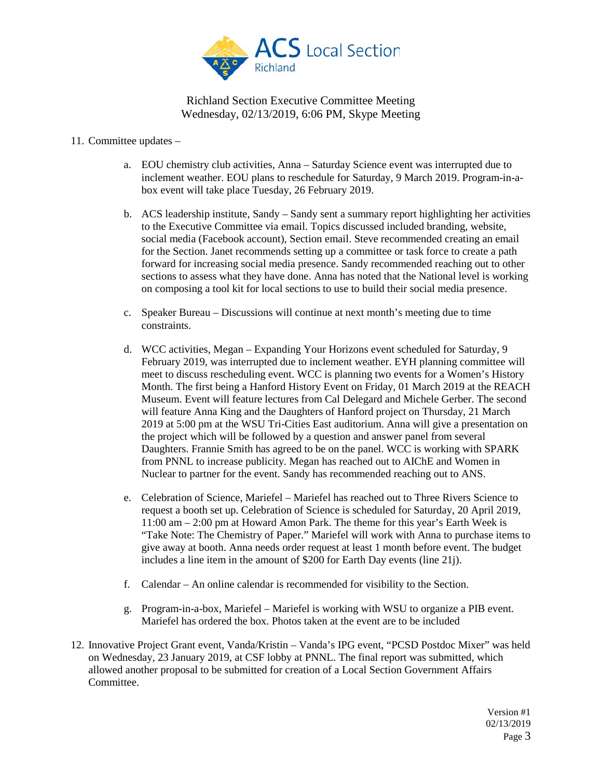

- 11. Committee updates
	- a. EOU chemistry club activities, Anna Saturday Science event was interrupted due to inclement weather. EOU plans to reschedule for Saturday, 9 March 2019. Program-in-abox event will take place Tuesday, 26 February 2019.
	- b. ACS leadership institute, Sandy Sandy sent a summary report highlighting her activities to the Executive Committee via email. Topics discussed included branding, website, social media (Facebook account), Section email. Steve recommended creating an email for the Section. Janet recommends setting up a committee or task force to create a path forward for increasing social media presence. Sandy recommended reaching out to other sections to assess what they have done. Anna has noted that the National level is working on composing a tool kit for local sections to use to build their social media presence.
	- c. Speaker Bureau Discussions will continue at next month's meeting due to time constraints.
	- d. WCC activities, Megan Expanding Your Horizons event scheduled for Saturday, 9 February 2019, was interrupted due to inclement weather. EYH planning committee will meet to discuss rescheduling event. WCC is planning two events for a Women's History Month. The first being a Hanford History Event on Friday, 01 March 2019 at the REACH Museum. Event will feature lectures from Cal Delegard and Michele Gerber. The second will feature Anna King and the Daughters of Hanford project on Thursday, 21 March 2019 at 5:00 pm at the WSU Tri-Cities East auditorium. Anna will give a presentation on the project which will be followed by a question and answer panel from several Daughters. Frannie Smith has agreed to be on the panel. WCC is working with SPARK from PNNL to increase publicity. Megan has reached out to AIChE and Women in Nuclear to partner for the event. Sandy has recommended reaching out to ANS.
	- e. Celebration of Science, Mariefel Mariefel has reached out to Three Rivers Science to request a booth set up. Celebration of Science is scheduled for Saturday, 20 April 2019, 11:00 am – 2:00 pm at Howard Amon Park. The theme for this year's Earth Week is "Take Note: The Chemistry of Paper." Mariefel will work with Anna to purchase items to give away at booth. Anna needs order request at least 1 month before event. The budget includes a line item in the amount of \$200 for Earth Day events (line 21j).
	- f. Calendar An online calendar is recommended for visibility to the Section.
	- g. Program-in-a-box, Mariefel Mariefel is working with WSU to organize a PIB event. Mariefel has ordered the box. Photos taken at the event are to be included
- 12. Innovative Project Grant event, Vanda/Kristin Vanda's IPG event, "PCSD Postdoc Mixer" was held on Wednesday, 23 January 2019, at CSF lobby at PNNL. The final report was submitted, which allowed another proposal to be submitted for creation of a Local Section Government Affairs Committee.

Version #1 02/13/2019 Page 3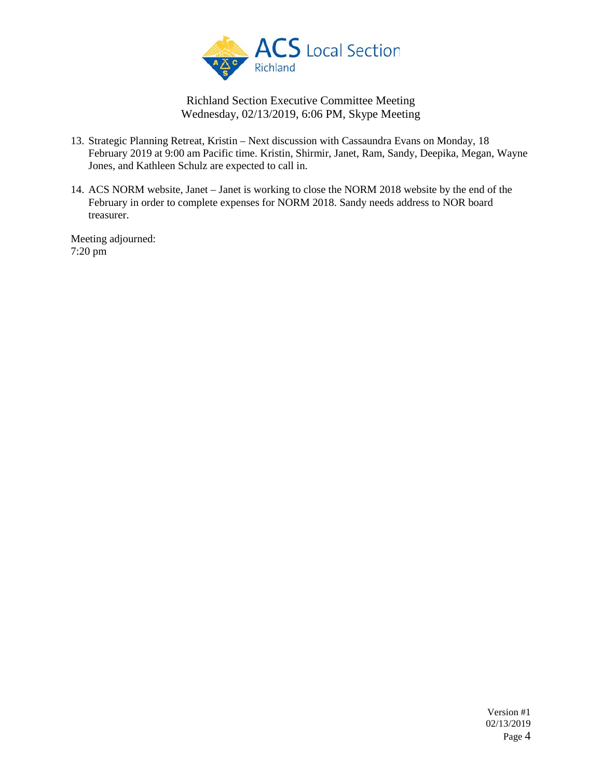

- 13. Strategic Planning Retreat, Kristin Next discussion with Cassaundra Evans on Monday, 18 February 2019 at 9:00 am Pacific time. Kristin, Shirmir, Janet, Ram, Sandy, Deepika, Megan, Wayne Jones, and Kathleen Schulz are expected to call in.
- 14. ACS NORM website, Janet Janet is working to close the NORM 2018 website by the end of the February in order to complete expenses for NORM 2018. Sandy needs address to NOR board treasurer.

Meeting adjourned: 7:20 pm